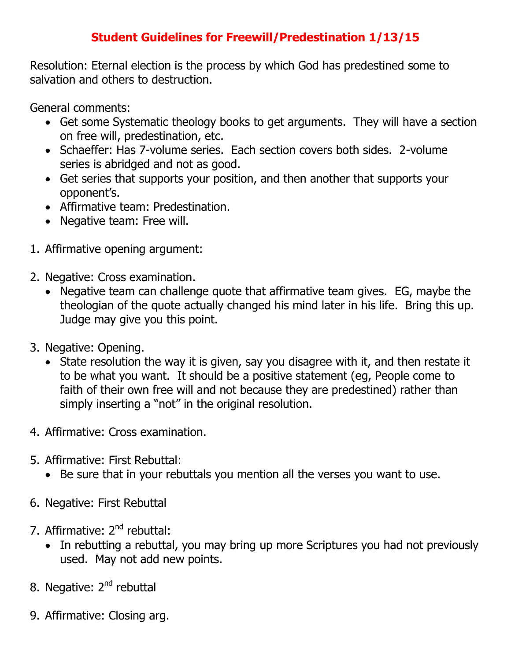## **Student Guidelines for Freewill/Predestination 1/13/15**

Resolution: Eternal election is the process by which God has predestined some to salvation and others to destruction.

General comments:

- Get some Systematic theology books to get arguments. They will have a section on free will, predestination, etc.
- Schaeffer: Has 7-volume series. Each section covers both sides. 2-volume series is abridged and not as good.
- Get series that supports your position, and then another that supports your opponent's.
- Affirmative team: Predestination.
- Negative team: Free will.
- 1. Affirmative opening argument:
- 2. Negative: Cross examination.
	- Negative team can challenge quote that affirmative team gives. EG, maybe the theologian of the quote actually changed his mind later in his life. Bring this up. Judge may give you this point.
- 3. Negative: Opening.
	- State resolution the way it is given, say you disagree with it, and then restate it to be what you want. It should be a positive statement (eg, People come to faith of their own free will and not because they are predestined) rather than simply inserting a "not" in the original resolution.
- 4. Affirmative: Cross examination.
- 5. Affirmative: First Rebuttal:
	- Be sure that in your rebuttals you mention all the verses you want to use.
- 6. Negative: First Rebuttal
- 7. Affirmative: 2<sup>nd</sup> rebuttal:
	- In rebutting a rebuttal, you may bring up more Scriptures you had not previously used. May not add new points.
- 8. Negative: 2<sup>nd</sup> rebuttal
- 9. Affirmative: Closing arg.